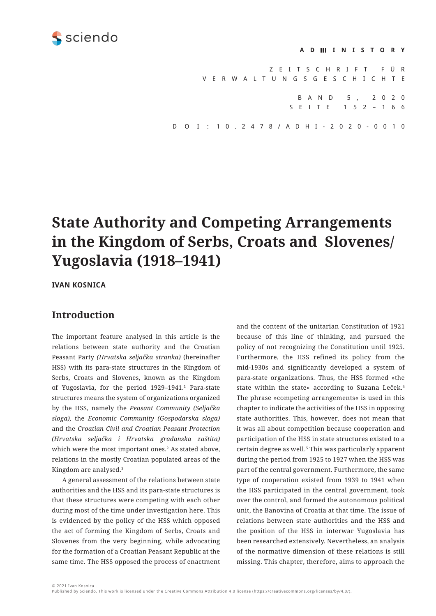<span id="page-0-0"></span>

#### **ADMINISTORY**

Z E I T S C H R I F T F Ü R VERWALTUNGSGESCHICHTE BAND 5, 2020 SEITE 152– 166 D O I : 10.2478/ADHI-2020-0010

# **State Authority and Competing Arrangements in the Kingdom of Serbs, Croats and Slovenes/ Yugoslavia (1918–1941)**

**IVAN KOSNICA** 

### **Introduction**

The important feature analysed in this article is the relations between state authority and the Croatian Peasant Party *(Hrvatska seljačka stranka)* (hereinafter HSS) with its para-state structures in the Kingdom of Serbs, Croats and Slovenes, known as the Kingdom of Yugoslavia, for the period 1929–1941[.1](#page-11-0) Para-state structures means the system of organizations organized by the HSS, namely the *Peasant Community (Seljačka sloga),* the *Economic Community (Gospodarska sloga)* and the *Croatian Civil and Croatian Peasant Protection (Hrvatska seljačka i Hrvatska građanska zaštita)* which were the most important ones.[2](#page-11-0) As stated above, relations in the mostly Croatian populated areas of the Kingdom are analysed.[3](#page-11-0)

A general assessment of the relations between state authorities and the HSS and its para-state structures is that these structures were competing with each other during most of the time under investigation here. This is evidenced by the policy of the HSS which opposed the act of forming the Kingdom of Serbs, Croats and Slovenes from the very beginning, while advocating for the formation of a Croatian Peasant Republic at the same time. The HSS opposed the process of enactment

and the content of the unitarian Constitution of 1921 because of this line of thinking, and pursued the policy of not recognizing the Constitution until 1925. Furthermore, the HSS refined its policy from the mid-1930s and significantly developed a system of para-state organizations. Thus, the HSS formed »the state within the state« according to Suzana Leček.[4](#page-11-0) The phrase »competing arrangements« is used in this chapter to indicate the activities of the HSS in opposing state authorities. This, however, does not mean that it was all about competition because cooperation and participation of the HSS in state structures existed to a certain degree as well.<sup>5</sup> This was particularly apparent during the period from 1925 to 1927 when the HSS was part of the central government. Furthermore, the same type of cooperation existed from 1939 to 1941 when the HSS participated in the central government, took over the control, and formed the autonomous political unit, the Banovina of Croatia at that time. The issue of relations between state authorities and the HSS and the position of the HSS in interwar Yugoslavia has been researched extensively. Nevertheless, an analysis of the normative dimension of these relations is still missing. This chapter, therefore, aims to approach the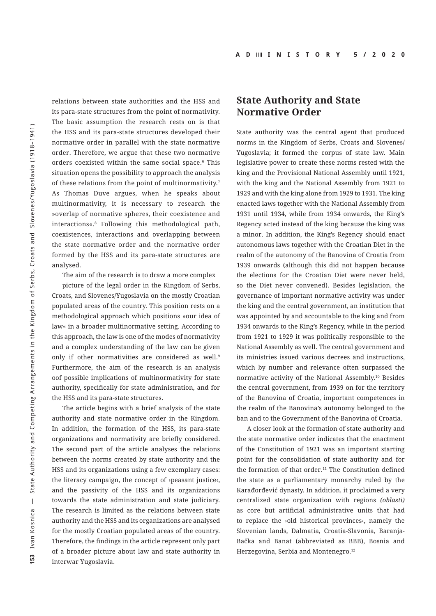<span id="page-1-0"></span>relations between state authorities and the HSS and its para-state structures from the point of normativity. The basic assumption the research rests on is that the HSS and its para-state structures developed their normative order in parallel with the state normative order. Therefore, we argue that these two normative orders coexisted within the same social space.<sup>6</sup> This situation opens the possibility to approach the analysis of these relations from the point of multinormativity.<sup>[7](#page-11-0)</sup> As Thomas Duve argues, when he speaks about multinormativity, it is necessary to research the »overlap of normative spheres, their coexistence and interactions«.[8](#page-11-0) Following this methodological path, coexistences, interactions and overlapping between the state normative order and the normative order formed by the HSS and its para-state structures are analysed*.*

The aim of the research is to draw a more complex

picture of the legal order in the Kingdom of Serbs, Croats, and Slovenes/Yugoslavia on the mostly Croatian populated areas of the country. This position rests on a methodological approach which positions »our idea of law« in a broader multinormative setting. According to this approach, the law is one of the modes of normativity and a complex understanding of the law can be given only if other normativities are considered as well.<sup>[9](#page-11-0)</sup> Furthermore, the aim of the research is an analysis oof possible implications of multinormativity for state authority, specifically for state administration, and for the HSS and its para-state structures.

The article begins with a brief analysis of the state authority and state normative order in the Kingdom. In addition, the formation of the HSS, its para-state organizations and normativity are briefly considered. The second part of the article analyses the relations between the norms created by state authority and the HSS and its organizations using a few exemplary cases: the literacy campaign, the concept of ›peasant justice‹, and the passivity of the HSS and its organizations towards the state administration and state judiciary. The research is limited as the relations between state authority and the HSS and its organizations are analysed for the mostly Croatian populated areas of the country. Therefore, the findings in the article represent only part of a broader picture about law and state authority in interwar Yugoslavia.

#### **State Authority and State Normative Order**

State authority was the central agent that produced norms in the Kingdom of Serbs, Croats and Slovenes/ Yugoslavia; it formed the corpus of state law. Main legislative power to create these norms rested with the king and the Provisional National Assembly until 1921, with the king and the National Assembly from 1921 to 1929 and with the king alone from 1929 to 1931. The king enacted laws together with the National Assembly from 1931 until 1934, while from 1934 onwards, the King's Regency acted instead of the king because the king was a minor. In addition, the King's Regency should enact autonomous laws together with the Croatian Diet in the realm of the autonomy of the Banovina of Croatia from 1939 onwards (although this did not happen because the elections for the Croatian Diet were never held, so the Diet never convened). Besides legislation, the governance of important normative activity was under the king and the central government, an institution that was appointed by and accountable to the king and from 1934 onwards to the King's Regency, while in the period from 1921 to 1929 it was politically responsible to the National Assembly as well. The central government and its ministries issued various decrees and instructions, which by number and relevance often surpassed the normative activity of the National Assembly.[10](#page-11-0) Besides the central government, from 1939 on for the territory of the Banovina of Croatia, important competences in the realm of the Banovina's autonomy belonged to the ban and to the Government of the Banovina of Croatia.

A closer look at the formation of state authority and the state normative order indicates that the enactment of the Constitution of 1921 was an important starting point for the consolidation of state authority and for the formation of that order.<sup>[11](#page-11-0)</sup> The Constitution defined the state as a parliamentary monarchy ruled by the Karađorđević dynasty. In addition, it proclaimed a very centralized state organization with regions *(oblasti)* as core but artificial administrative units that had to replace the ›old historical provinces‹, namely the Slovenian lands, Dalmatia, Croatia-Slavonia, Baranja-Bačka and Banat (abbreviated as BBB), Bosnia and Herzegovina, Serbia and Montenegro.[12](#page-11-0)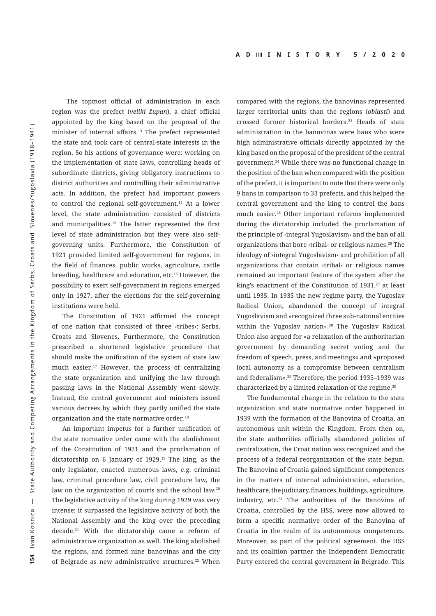<span id="page-2-0"></span> The topmost official of administration in each region was the prefect (*veliki župan*), a chief official appointed by the king based on the proposal of the minister of internal affairs.[13](#page-11-0) The prefect represented the state and took care of central-state interests in the region. So his actions of governance were: working on the implementation of state laws, controlling heads of subordinate districts, giving obligatory instructions to district authorities and controlling their administrative acts. In addition, the prefect had important powers to control the regional self-government.[14](#page-11-0) At a lower level, the state administration consisted of districts and municipalities[.15](#page-11-0) The latter represented the first level of state administration but they were also selfgoverning units. Furthermore, the Constitution of 1921 provided limited self-government for regions, in the field of finances, public works, agriculture, cattle breeding, healthcare and education, etc[.16](#page-11-0) However, the possibility to exert self-government in regions emerged only in 1927, after the elections for the self-governing institutions were held.

The Constitution of 1921 affirmed the concept of one nation that consisted of three **>tribes** << Serbs, Croats and Slovenes. Furthermore, the Constitution prescribed a shortened legislative procedure that should make the unification of the system of state law much easier.<sup>17</sup> However, the process of centralizing the state organization and unifying the law through passing laws in the National Assembly went slowly. Instead, the central government and ministers issued various decrees by which they partly unified the state organization and the state normative order.<sup>18</sup>

An important impetus for a further unification of the state normative order came with the abolishment of the Constitution of 1921 and the proclamation of dictatorship on 6 January of 1929[.19](#page-11-0) The king, as the only legislator, enacted numerous laws, e.g. criminal law, criminal procedure law, civil procedure law, the law on the organization of courts and the school law.[20](#page-11-0) The legislative activity of the king during 1929 was very intense; it surpassed the legislative activity of both the National Assembly and the king over the preceding decade[.21](#page-11-0) With the dictatorship came a reform of administrative organization as well. The king abolished the regions, and formed nine banovinas and the city of Belgrade as new administrative structures.<sup>22</sup> When compared with the regions, the banovinas represented larger territorial units than the regions (*oblasti*) and crossed former historical borders.[23](#page-11-0) Heads of state administration in the banovinas were bans who were high administrative officials directly appointed by the king based on the proposal of the president of the central government.[24](#page-11-0) While there was no functional change in the position of the ban when compared with the position of the prefect, it is important to note that there were only 9 bans in comparison to 33 prefects, and this helped the central government and the king to control the bans much easier.[25](#page-11-0) Other important reforms implemented during the dictatorship included the proclamation of the principle of ›integral Yugoslavism‹ and the ban of all organizations that bore ›tribal‹ or religious names.[26](#page-11-0) The ideology of ›integral Yugoslavism‹ and prohibition of all organizations that contain ›tribal‹ or religious names remained an important feature of the system after the king's enactment of the Constitution of 1931,<sup>27</sup> at least until 1935. In 1935 the new regime party, the Yugoslav Radical Union, abandoned the concept of integral Yugoslavism and »recognized three sub-national entities within the Yugoslay nation«.<sup>28</sup> The Yugoslay Radical Union also argued for »a relaxation of the authoritarian government by demanding secret voting and the freedom of speech, press, and meetings« and »proposed local autonomy as a compromise between centralism and federalism«[.29](#page-11-0) Therefore, the period 1935–1939 was characterized by a limited relaxation of the regime.<sup>[30](#page-11-0)</sup>

The fundamental change in the relation to the state organization and state normative order happened in 1939 with the formation of the Banovina of Croatia, an autonomous unit within the Kingdom. From then on, the state authorities officially abandoned policies of centralization, the Croat nation was recognized and the process of a federal reorganization of the state begun. The Banovina of Croatia gained significant competences in the matters of internal administration, education, healthcare, the judiciary, finances, buildings, agriculture, industry, etc[.31](#page-11-0) The authorities of the Banovina of Croatia, controlled by the HSS, were now allowed to form a specific normative order of the Banovina of Croatia in the realm of its autonomous competences. Moreover, as part of the political agreement, the HSS and its coalition partner the Independent Democratic Party entered the central government in Belgrade. This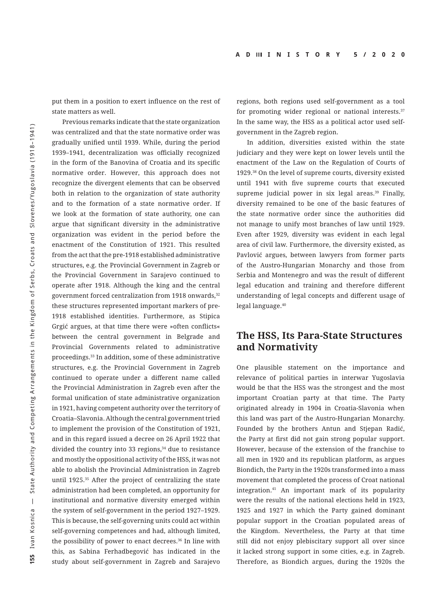<span id="page-3-0"></span>put them in a position to exert influence on the rest of state matters as well.

Previous remarks indicate that the state organization was centralized and that the state normative order was gradually unified until 1939. While, during the period 1939–1941, decentralization was officially recognized in the form of the Banovina of Croatia and its specific normative order. However, this approach does not recognize the divergent elements that can be observed both in relation to the organization of state authority and to the formation of a state normative order. If we look at the formation of state authority, one can argue that significant diversity in the administrative organization was evident in the period before the enactment of the Constitution of 1921. This resulted from the act that the pre-1918 established administrative structures, e.g. the Provincial Government in Zagreb or the Provincial Government in Sarajevo continued to operate after 1918. Although the king and the central government forced centralization from 1918 onwards,[32](#page-11-0) these structures represented important markers of pre-1918 established identities. Furthermore, as Stipica Grgić argues, at that time there were »often conflicts« between the central government in Belgrade and Provincial Governments related to administrative proceedings.[33](#page-11-0) In addition, some of these administrative structures, e.g. the Provincial Government in Zagreb continued to operate under a different name called the Provincial Administration in Zagreb even after the formal unification of state administrative organization in 1921, having competent authority over the territory of Croatia–Slavonia. Although the central government tried to implement the provision of the Constitution of 1921, and in this regard issued a decree on 26 April 1922 that divided the country into 33 regions,<sup>34</sup> due to resistance and mostly the oppositional activity of the HSS, it was not able to abolish the Provincial Administration in Zagreb until 1925.[35](#page-11-0) After the project of centralizing the state administration had been completed, an opportunity for institutional and normative diversity emerged within the system of self-government in the period 1927–1929. This is because, the self-governing units could act within self-governing competences and had, although limited, the possibility of power to enact decrees.[36](#page-11-0) In line with this, as Sabina Ferhadbegović has indicated in the study about self-government in Zagreb and Sarajevo

regions, both regions used self-government as a tool for promoting wider regional or national interests.<sup>37</sup> In the same way, the HSS as a political actor used selfgovernment in the Zagreb region.

In addition, diversities existed within the state judiciary and they were kept on lower levels until the enactment of the Law on the Regulation of Courts of 1929.[38](#page-11-0) On the level of supreme courts, diversity existed until 1941 with five supreme courts that executed supreme judicial power in six legal areas.<sup>39</sup> Finally, diversity remained to be one of the basic features of the state normative order since the authorities did not manage to unify most branches of law until 1929. Even after 1929, diversity was evident in each legal area of civil law. Furthermore, the diversity existed, as Pavlović argues, between lawyers from former parts of the Austro-Hungarian Monarchy and those from Serbia and Montenegro and was the result of different legal education and training and therefore different understanding of legal concepts and different usage of legal language.<sup>[40](#page-12-0)</sup>

### **The HSS, Its Para-State Structures and Normativity**

One plausible statement on the importance and relevance of political parties in interwar Yugoslavia would be that the HSS was the strongest and the most important Croatian party at that time. The Party originated already in 1904 in Croatia-Slavonia when this land was part of the Austro-Hungarian Monarchy. Founded by the brothers Antun and Stjepan Radić, the Party at first did not gain strong popular support. However, because of the extension of the franchise to all men in 1920 and its republican platform, as argues Biondich, the Party in the 1920s transformed into a mass movement that completed the process of Croat national integration.[41](#page-12-0) An important mark of its popularity were the results of the national elections held in 1923, 1925 and 1927 in which the Party gained dominant popular support in the Croatian populated areas of the Kingdom. Nevertheless, the Party at that time still did not enjoy plebiscitary support all over since it lacked strong support in some cities, e.g. in Zagreb. Therefore, as Biondich argues, during the 1920s the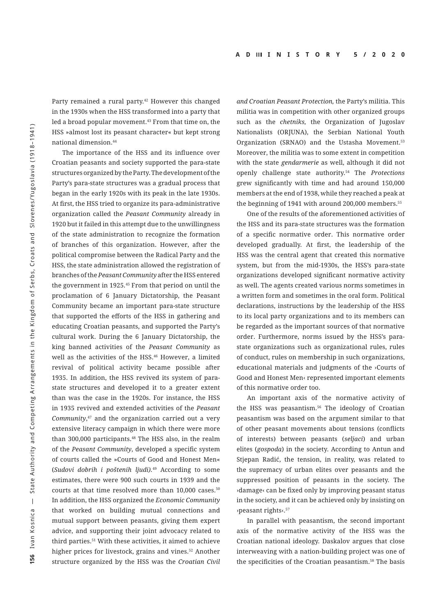<span id="page-4-0"></span>Party remained a rural party.<sup>[42](#page-12-0)</sup> However this changed in the 1930s when the HSS transformed into a party that led a broad popular movement.<sup>43</sup> From that time on, the HSS »almost lost its peasant character« but kept strong national dimension.[44](#page-12-0)

The importance of the HSS and its influence over Croatian peasants and society supported the para-state structures organized by the Party. The development of the Party's para-state structures was a gradual process that began in the early 1920s with its peak in the late 1930s. At first, the HSS tried to organize its para-administrative organization called the *Peasant Community* already in 1920 but it failed in this attempt due to the unwillingness of the state administration to recognize the formation of branches of this organization. However, after the political compromise between the Radical Party and the HSS, the state administration allowed the registration of branches of the *Peasant Community* after the HSS entered the government in 1925*.* [45](#page-12-0) From that period on until the proclamation of 6 January Dictatorship, the Peasant Community became an important para-state structure that supported the efforts of the HSS in gathering and educating Croatian peasants, and supported the Party's cultural work. During the 6 January Dictatorship, the king banned activities of the *Peasant Community* as well as the activities of the HSS.<sup>[46](#page-12-0)</sup> However, a limited revival of political activity became possible after 1935. In addition, the HSS revived its system of parastate structures and developed it to a greater extent than was the case in the 1920s. For instance, the HSS in 1935 revived and extended activities of the *Peasant Community*, [47](#page-12-0) and the organization carried out a very extensive literacy campaign in which there were more than 300,000 participants.<sup>[48](#page-12-0)</sup> The HSS also, in the realm of the *Peasant Community*, developed a specific system of courts called the »Courts of Good and Honest Men« (*Sudovi dobrih i poštenih ljudi).*[49](#page-12-0) According to some estimates, there were 900 such courts in 1939 and the courts at that time resolved more than 10,000 cases.<sup>[50](#page-12-0)</sup> In addition, the HSS organized the *Economic Community* that worked on building mutual connections and mutual support between peasants, giving them expert advice, and supporting their joint advocacy related to third parties.<sup>51</sup> With these activities, it aimed to achieve higher prices for livestock, grains and vines.<sup>52</sup> Another structure organized by the HSS was the *Croatian Civil* 

*and Croatian Peasant Protection,* the Party's militia. This militia was in competition with other organized groups such as the *chetniks,* the Organization of Jugoslav Nationalists (ORJUNA), the Serbian National Youth Organization (SRNAO) and the Ustasha Movement.<sup>53</sup> Moreover, the militia was to some extent in competition with the state *gendarmerie* as well, although it did not openly challenge state authority.[54](#page-12-0) The *Protections* grew significantly with time and had around 150,000 members at the end of 1938, while they reached a peak at the beginning of 1941 with around 200,000 members.<sup>55</sup>

One of the results of the aforementioned activities of the HSS and its para-state structures was the formation of a specific normative order. This normative order developed gradually. At first, the leadership of the HSS was the central agent that created this normative system, but from the mid-1930s, the HSS's para-state organizations developed significant normative activity as well. The agents created various norms sometimes in a written form and sometimes in the oral form. Political declarations, instructions by the leadership of the HSS to its local party organizations and to its members can be regarded as the important sources of that normative order. Furthermore, norms issued by the HSS's parastate organizations such as organizational rules, rules of conduct, rules on membership in such organizations, educational materials and judgments of the ›Courts of Good and Honest Men‹ represented important elements of this normative order too.

An important axis of the normative activity of the HSS was peasantism. $56$  The ideology of Croatian peasantism was based on the argument similar to that of other peasant movements about tensions (conflicts of interests) between peasants (*seljaci*) and urban elites (*gospoda*) in the society. According to Antun and Stjepan Radić, the tension, in reality, was related to the supremacy of urban elites over peasants and the suppressed position of peasants in the society. The ›damage‹ can be fixed only by improving peasant status in the society, and it can be achieved only by insisting on ›peasant rights‹.[57](#page-12-0)

In parallel with peasantism, the second important axis of the normative activity of the HSS was the Croatian national ideology. Daskalov argues that close interweaving with a nation-building project was one of the specificities of the Croatian peasantism.[58](#page-12-0) The basis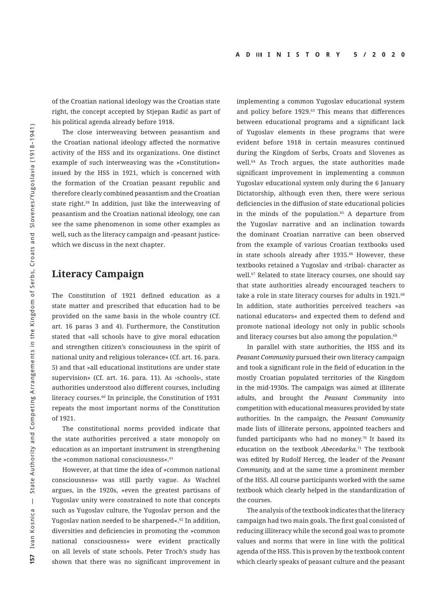<span id="page-5-0"></span>of the Croatian national ideology was the Croatian state right, the concept accepted by Stjepan Radić as part of his political agenda already before 1918.

The close interweaving between peasantism and the Croatian national ideology affected the normative activity of the HSS and its organizations. One distinct example of such interweaving was the »Constitution« issued by the HSS in 1921, which is concerned with the formation of the Croatian peasant republic and therefore clearly combined peasantism and the Croatian state right.[59](#page-12-0) In addition, just like the interweaving of peasantism and the Croatian national ideology, one can see the same phenomenon in some other examples as well, such as the literacy campaign and ›peasant justice‹ which we discuss in the next chapter.

### **Literacy Campaign**

The Constitution of 1921 defined education as a state matter and prescribed that education had to be provided on the same basis in the whole country (Cf. art. 16 paras 3 and 4). Furthermore, the Constitution stated that »all schools have to give moral education and strengthen citizen's consciousness in the spirit of national unity and religious tolerance« (Cf. art. 16. para. 5) and that »all educational institutions are under state supervision« (Cf. art. 16. para. 11). As ›schools‹, state authorities understood also different courses, including literacy courses.<sup>[60](#page-12-0)</sup> In principle, the Constitution of 1931 repeats the most important norms of the Constitution of 1921.

The constitutional norms provided indicate that the state authorities perceived a state monopoly on education as an important instrument in strengthening the »common national consciousness«.<sup>61</sup>

However, at that time the idea of »common national consciousness« was still partly vague. As Wachtel argues, in the 1920s, »even the greatest partisans of Yugoslav unity were constrained to note that concepts such as Yugoslav culture, the Yugoslav person and the Yugoslav nation needed to be sharpened«.<sup>[62](#page-12-0)</sup> In addition, diversities and deficiencies in promoting the »common national consciousness« were evident practically on all levels of state schools. Peter Troch's study has shown that there was no significant improvement in

implementing a common Yugoslav educational system and policy before 1929.<sup>63</sup> This means that differences between educational programs and a significant lack of Yugoslav elements in these programs that were evident before 1918 in certain measures continued during the Kingdom of Serbs, Croats and Slovenes as well[.64](#page-12-0) As Troch argues, the state authorities made significant improvement in implementing a common Yugoslav educational system only during the 6 January Dictatorship, although even then, there were serious deficiencies in the diffusion of state educational policies in the minds of the population.<sup>65</sup> A departure from the Yugoslav narrative and an inclination towards the dominant Croatian narrative can been observed from the example of various Croatian textbooks used in state schools already after 1935.<sup>[66](#page-12-0)</sup> However, these textbooks retained a Yugoslav and ›tribal‹ character as well.<sup>67</sup> Related to state literacy courses, one should say that state authorities already encouraged teachers to take a role in state literacy courses for adults in 1921.<sup>68</sup> In addition, state authorities perceived teachers »as national educators« and expected them to defend and promote national ideology not only in public schools and literacy courses but also among the population.<sup>[69](#page-12-0)</sup>

In parallel with state authorities, the HSS and its *Peasant Community* pursued their own literacy campaign and took a significant role in the field of education in the mostly Croatian populated territories of the Kingdom in the mid-1930s. The campaign was aimed at illiterate adults, and brought the *Peasant Community* into competition with educational measures provided by state authorities. In the campaign, the *Peasant Community* made lists of illiterate persons, appointed teachers and funded participants who had no money.<sup>70</sup> It based its education on the textbook *Abecedarka.*[71](#page-12-0) The textbook was edited by Rudolf Herceg, the leader of the *Peasant Community,* and at the same time a prominent member of the HSS. All course participants worked with the same textbook which clearly helped in the standardization of the courses.

The analysis of the textbook indicates that the literacy campaign had two main goals. The first goal consisted of reducing illiteracy while the second goal was to promote values and norms that were in line with the political agenda of the HSS. This is proven by the textbook content which clearly speaks of peasant culture and the peasant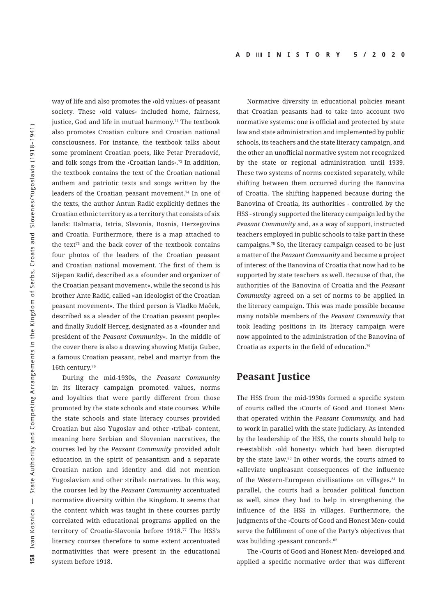<span id="page-6-0"></span>way of life and also promotes the ›old values‹ of peasant society. These >old values< included home, fairness, justice, God and life in mutual harmony.<sup>72</sup> The textbook also promotes Croatian culture and Croatian national consciousness. For instance, the textbook talks about some prominent Croatian poets, like Petar Preradović, and folk songs from the  $\times$ Croatian lands $\times$ <sup>73</sup> In addition, the textbook contains the text of the Croatian national anthem and patriotic texts and songs written by the leaders of the Croatian peasant movement.<sup>74</sup> In one of the texts, the author Antun Radić explicitly defines the Croatian ethnic territory as a territory that consists of six lands: Dalmatia, Istria, Slavonia, Bosnia, Herzegovina and Croatia. Furthermore, there is a map attached to the text $75$  and the back cover of the textbook contains four photos of the leaders of the Croatian peasant and Croatian national movement. The first of them is Stjepan Radić, described as a »founder and organizer of the Croatian peasant movement«, while the second is his brother Ante Radić, called »an ideologist of the Croatian peasant movement«. The third person is Vladko Maček, described as a »leader of the Croatian peasant people« and finally Rudolf Herceg, designated as a »founder and president of the *Peasant Community*«. In the middle of the cover there is also a drawing showing Matija Gubec, a famous Croatian peasant, rebel and martyr from the 16th century[.76](#page-12-0)

During the mid-1930s, the *Peasant Community* in its literacy campaign promoted values, norms and loyalties that were partly different from those promoted by the state schools and state courses. While the state schools and state literacy courses provided Croatian but also Yugoslav and other ›tribal‹ content, meaning here Serbian and Slovenian narratives, the courses led by the *Peasant Community* provided adult education in the spirit of peasantism and a separate Croatian nation and identity and did not mention Yugoslavism and other ›tribal‹ narratives. In this way, the courses led by the *Peasant Community* accentuated normative diversity within the Kingdom. It seems that the content which was taught in these courses partly correlated with educational programs applied on the territory of Croatia-Slavonia before 1918.<sup>77</sup> The HSS's literacy courses therefore to some extent accentuated normativities that were present in the educational system before 1918.

Normative diversity in educational policies meant that Croatian peasants had to take into account two normative systems: one is official and protected by state law and state administration and implemented by public schools, its teachers and the state literacy campaign, and the other an unofficial normative system not recognized by the state or regional administration until 1939. These two systems of norms coexisted separately, while shifting between them occurred during the Banovina of Croatia. The shifting happened because during the Banovina of Croatia, its authorities - controlled by the HSS - strongly supported the literacy campaign led by the *Peasant Community* and, as a way of support, instructed teachers employed in public schools to take part in these campaigns.[78](#page-12-0) So, the literacy campaign ceased to be just a matter of the *Peasant Community* and became a project of interest of the Banovina of Croatia that now had to be supported by state teachers as well. Because of that, the authorities of the Banovina of Croatia and the *Peasant Community* agreed on a set of norms to be applied in the literacy campaign. This was made possible because many notable members of the *Peasant Community* that took leading positions in its literacy campaign were now appointed to the administration of the Banovina of Croatia as experts in the field of education.[79](#page-12-0)

### **Peasant Justice**

The HSS from the mid-1930s formed a specific system of courts called the ›Courts of Good and Honest Men‹ that operated within the *Peasant Community,* and had to work in parallel with the state judiciary. As intended by the leadership of the HSS, the courts should help to re-establish ›old honesty‹ which had been disrupted by the state law.<sup>[80](#page-12-0)</sup> In other words, the courts aimed to »alleviate unpleasant consequences of the influence of the Western-European civilisation« on villages.[81](#page-12-0) In parallel, the courts had a broader political function as well, since they had to help in strengthening the influence of the HSS in villages. Furthermore, the judgments of the ›Courts of Good and Honest Men‹ could serve the fulfilment of one of the Party's objectives that was building ›peasant concord‹.[82](#page-12-0)

The ›Courts of Good and Honest Men‹ developed and applied a specific normative order that was different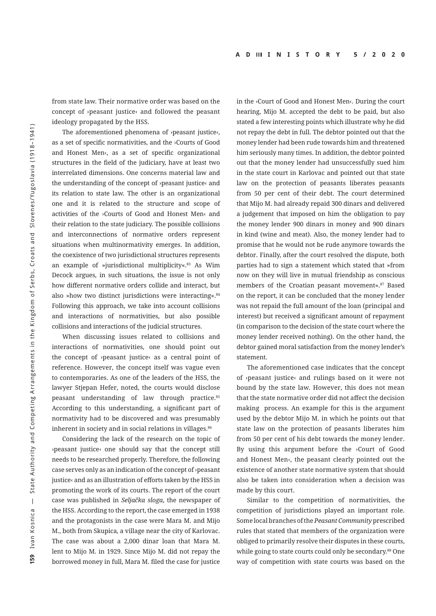<span id="page-7-0"></span>from state law. Their normative order was based on the concept of ›peasant justice‹ and followed the peasant ideology propagated by the HSS.

The aforementioned phenomena of ›peasant justice‹, as a set of specific normativities, and the ›Courts of Good and Honest Men‹, as a set of specific organizational structures in the field of the judiciary, have at least two interrelated dimensions. One concerns material law and the understanding of the concept of ›peasant justice‹ and its relation to state law. The other is an organizational one and it is related to the structure and scope of activities of the ›Courts of Good and Honest Men‹ and their relation to the state judiciary. The possible collisions and interconnections of normative orders represent situations when multinormativity emerges. In addition, the coexistence of two jurisdictional structures represents an example of »jurisdictional multiplicity«.<sup>[83](#page-12-0)</sup> As Wim Decock argues, in such situations, the issue is not only how different normative orders collide and interact, but also »how two distinct jurisdictions were interacting«.<sup>84</sup> Following this approach, we take into account collisions and interactions of normativities, but also possible collisions and interactions of the judicial structures.

When discussing issues related to collisions and interactions of normativities, one should point out the concept of ›peasant justice‹ as a central point of reference. However, the concept itself was vague even to contemporaries. As one of the leaders of the HSS, the lawyer Stjepan Hefer, noted, the courts would disclose peasant understanding of law through practice.[85](#page-12-0) According to this understanding, a significant part of normativity had to be discovered and was presumably inherent in society and in social relations in villages.<sup>[86](#page-12-0)</sup>

Considering the lack of the research on the topic of ›peasant justice‹ one should say that the concept still needs to be researched properly. Therefore, the following case serves only as an indication of the concept of ›peasant justice‹ and as an illustration of efforts taken by the HSS in promoting the work of its courts. The report of the court case was published in *Seljačka sloga*, the newspaper of the HSS. According to the report, the case emerged in 1938 and the protagonists in the case were Mara M. and Mijo M., both from Skupica, a village near the city of Karlovac. The case was about a 2,000 dinar loan that Mara M. lent to Mijo M. in 1929. Since Mijo M. did not repay the borrowed money in full, Mara M. filed the case for justice

in the ›Court of Good and Honest Men‹. During the court hearing, Mijo M. accepted the debt to be paid, but also stated a few interesting points which illustrate why he did not repay the debt in full. The debtor pointed out that the money lender had been rude towards him and threatened him seriously many times. In addition, the debtor pointed out that the money lender had unsuccessfully sued him in the state court in Karlovac and pointed out that state law on the protection of peasants liberates peasants from 50 per cent of their debt. The court determined that Mijo M. had already repaid 300 dinars and delivered a judgement that imposed on him the obligation to pay the money lender 900 dinars in money and 900 dinars in kind (wine and meat). Also, the money lender had to promise that he would not be rude anymore towards the debtor. Finally, after the court resolved the dispute, both parties had to sign a statement which stated that »from now on they will live in mutual friendship as conscious members of the Croatian peasant movement«.<sup>87</sup> Based on the report, it can be concluded that the money lender was not repaid the full amount of the loan (principal and interest) but received a significant amount of repayment (in comparison to the decision of the state court where the money lender received nothing). On the other hand, the debtor gained moral satisfaction from the money lender's statement.

The aforementioned case indicates that the concept of ›peasant justice‹ and rulings based on it were not bound by the state law. However, this does not mean that the state normative order did not affect the decision making process. An example for this is the argument used by the debtor Mijo M. in which he points out that state law on the protection of peasants liberates him from 50 per cent of his debt towards the money lender. By using this argument before the ›Court of Good and Honest Men‹, the peasant clearly pointed out the existence of another state normative system that should also be taken into consideration when a decision was made by this court.

Similar to the competition of normativities, the competition of jurisdictions played an important role. Some local branches of the *Peasant Community* prescribed rules that stated that members of the organization were obliged to primarily resolve their disputes in these courts, while going to state courts could only be secondary.<sup>88</sup> One way of competition with state courts was based on the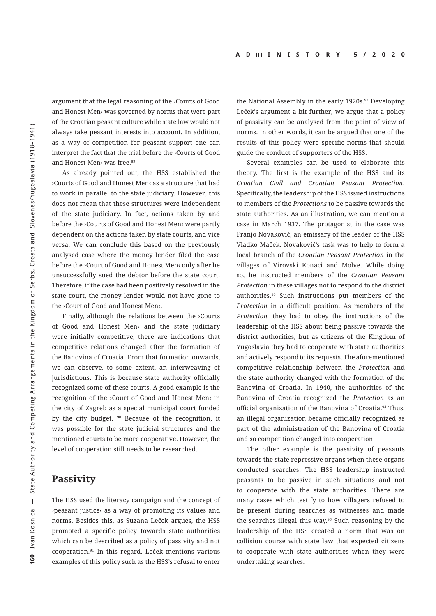<span id="page-8-0"></span>argument that the legal reasoning of the ›Courts of Good and Honest Men‹ was governed by norms that were part of the Croatian peasant culture while state law would not always take peasant interests into account. In addition, as a way of competition for peasant support one can interpret the fact that the trial before the ›Courts of Good and Honest Men‹ was free.<sup>89</sup>

As already pointed out, the HSS established the ›Courts of Good and Honest Men‹ as a structure that had to work in parallel to the state judiciary. However, this does not mean that these structures were independent of the state judiciary. In fact, actions taken by and before the ›Courts of Good and Honest Men‹ were partly dependent on the actions taken by state courts, and vice versa. We can conclude this based on the previously analysed case where the money lender filed the case before the ›Court of Good and Honest Men‹ only after he unsuccessfully sued the debtor before the state court. Therefore, if the case had been positively resolved in the state court, the money lender would not have gone to the ›Court of Good and Honest Men‹.

Finally, although the relations between the ›Courts of Good and Honest Men‹ and the state judiciary were initially competitive, there are indications that competitive relations changed after the formation of the Banovina of Croatia. From that formation onwards, we can observe, to some extent, an interweaving of jurisdictions. This is because state authority officially recognized some of these courts. A good example is the recognition of the ›Court of Good and Honest Men‹ in the city of Zagreb as a special municipal court funded by the city budget. [90](#page-13-0) Because of the recognition, it was possible for the state judicial structures and the mentioned courts to be more cooperative. However, the level of cooperation still needs to be researched.

#### **Passivity**

The HSS used the literacy campaign and the concept of ›peasant justice‹ as a way of promoting its values and norms. Besides this, as Suzana Leček argues, the HSS promoted a specific policy towards state authorities which can be described as a policy of passivity and not cooperation.[91](#page-13-0) In this regard, Leček mentions various examples of this policy such as the HSS's refusal to enter

the National Assembly in the early 1[92](#page-13-0)0s.<sup>92</sup> Developing Leček's argument a bit further, we argue that a policy of passivity can be analysed from the point of view of norms. In other words, it can be argued that one of the results of this policy were specific norms that should guide the conduct of supporters of the HSS.

Several examples can be used to elaborate this theory. The first is the example of the HSS and its *Croatian Civil and Croatian Peasant Protection*. Specifically, the leadership of the HSS issued instructions to members of the *Protections* to be passive towards the state authorities. As an illustration, we can mention a case in March 1937. The protagonist in the case was Franjo Novaković, an emissary of the leader of the HSS Vladko Maček. Novaković's task was to help to form a local branch of the *Croatian Peasant Protection* in the villages of Virovski Konaci and Molve. While doing so, he instructed members of the *Croatian Peasant Protection* in these villages not to respond to the district authorities.[93](#page-13-0) Such instructions put members of the *Protection* in a difficult position. As members of the *Protection,* they had to obey the instructions of the leadership of the HSS about being passive towards the district authorities, but as citizens of the Kingdom of Yugoslavia they had to cooperate with state authorities and actively respond to its requests. The aforementioned competitive relationship between the *Protection* and the state authority changed with the formation of the Banovina of Croatia. In 1940, the authorities of the Banovina of Croatia recognized the *Protection* as an official organization of the Banovina of Croatia.<sup>94</sup> Thus, an illegal organization became officially recognized as part of the administration of the Banovina of Croatia and so competition changed into cooperation.

The other example is the passivity of peasants towards the state repressive organs when these organs conducted searches. The HSS leadership instructed peasants to be passive in such situations and not to cooperate with the state authorities. There are many cases which testify to how villagers refused to be present during searches as witnesses and made the searches illegal this way[.95](#page-13-0) Such reasoning by the leadership of the HSS created a norm that was on collision course with state law that expected citizens to cooperate with state authorities when they were undertaking searches.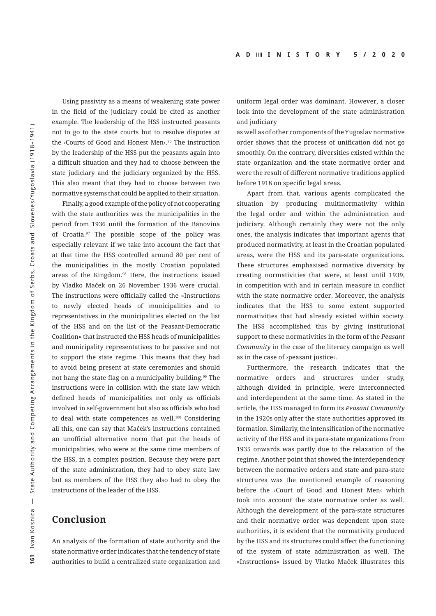<span id="page-9-0"></span>Using passivity as a means of weakening state power in the field of the judiciary could be cited as another example. The leadership of the HSS instructed peasants not to go to the state courts but to resolve disputes at the ›Courts of Good and Honest Men‹.[96](#page-13-0) The instruction by the leadership of the HSS put the peasants again into a difficult situation and they had to choose between the state judiciary and the judiciary organized by the HSS. This also meant that they had to choose between two normative systems that could be applied to their situation.

Finally, a good example of the policy of not cooperating with the state authorities was the municipalities in the period from 1936 until the formation of the Banovina of Croatia[.97](#page-13-0) The possible scope of the policy was especially relevant if we take into account the fact that at that time the HSS controlled around 80 per cent of the municipalities in the mostly Croatian populated areas of the Kingdom[.98](#page-13-0) Here, the instructions issued by Vladko Maček on 26 November 1936 were crucial. The instructions were officially called the »Instructions to newly elected heads of municipalities and to representatives in the municipalities elected on the list of the HSS and on the list of the Peasant-Democratic Coalition« that instructed the HSS heads of municipalities and municipality representatives to be passive and not to support the state regime. This means that they had to avoid being present at state ceremonies and should not hang the state flag on a municipality building.<sup>99</sup> The instructions were in collision with the state law which defined heads of municipalities not only as officials involved in self-government but also as officials who had to deal with state competences as well[.100](#page-13-0) Considering all this, one can say that Maček's instructions contained an unofficial alternative norm that put the heads of municipalities, who were at the same time members of the HSS, in a complex position. Because they were part of the state administration, they had to obey state law but as members of the HSS they also had to obey the instructions of the leader of the HSS.

## **Conclusion**

An analysis of the formation of state authority and the state normative order indicates that the tendency of state authorities to build a centralized state organization and uniform legal order was dominant. However, a closer look into the development of the state administration and judiciary

as well as of other components of the Yugoslav normative order shows that the process of unification did not go smoothly. On the contrary, diversities existed within the state organization and the state normative order and were the result of different normative traditions applied before 1918 on specific legal areas.

Apart from that, various agents complicated the situation by producing multinormativity within the legal order and within the administration and judiciary. Although certainly they were not the only ones, the analysis indicates that important agents that produced normativity, at least in the Croatian populated areas, were the HSS and its para-state organizations. These structures emphasised normative diversity by creating normativities that were, at least until 1939, in competition with and in certain measure in conflict with the state normative order. Moreover, the analysis indicates that the HSS to some extent supported normativities that had already existed within society. The HSS accomplished this by giving institutional support to these normativities in the form of the *Peasant Community* in the case of the literacy campaign as well as in the case of ›peasant justice‹.

Furthermore, the research indicates that the normative orders and structures under study, although divided in principle, were interconnected and interdependent at the same time. As stated in the article, the HSS managed to form its *Peasant Community* in the 1920s only after the state authorities approved its formation. Similarly, the intensification of the normative activity of the HSS and its para-state organizations from 1935 onwards was partly due to the relaxation of the regime. Another point that showed the interdependency between the normative orders and state and para-state structures was the mentioned example of reasoning before the ›Court of Good and Honest Men‹ which took into account the state normative order as well. Although the development of the para-state structures and their normative order was dependent upon state authorities, it is evident that the normativity produced by the HSS and its structures could affect the functioning of the system of state administration as well. The »Instructions« issued by Vlatko Maček illustrates this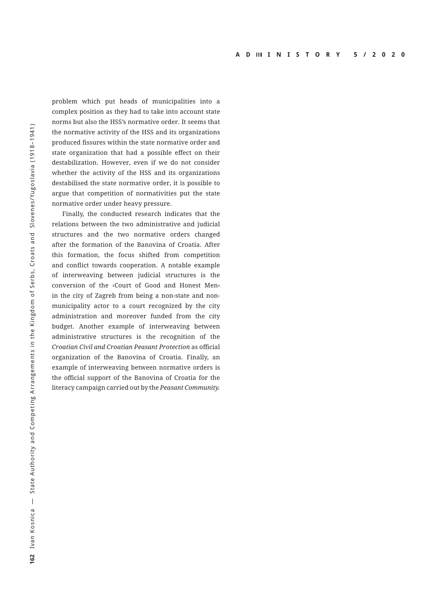problem which put heads of municipalities into a complex position as they had to take into account state norms but also the HSS's normative order. It seems that the normative activity of the HSS and its organizations produced fissures within the state normative order and state organization that had a possible effect on their destabilization. However, even if we do not consider whether the activity of the HSS and its organizations destabilised the state normative order, it is possible to argue that competition of normativities put the state normative order under heavy pressure.

Finally, the conducted research indicates that the relations between the two administrative and judicial structures and the two normative orders changed after the formation of the Banovina of Croatia. After this formation, the focus shifted from competition and conflict towards cooperation. A notable example of interweaving between judicial structures is the conversion of the ›Court of Good and Honest Men‹ in the city of Zagreb from being a non-state and nonmunicipality actor to a court recognized by the city administration and moreover funded from the city budget. Another example of interweaving between administrative structures is the recognition of the *Croatian Civil and Croatian Peasant Protection* as official organization of the Banovina of Croatia. Finally, an example of interweaving between normative orders is the official support of the Banovina of Croatia for the literacy campaign carried out by the *Peasant Community.*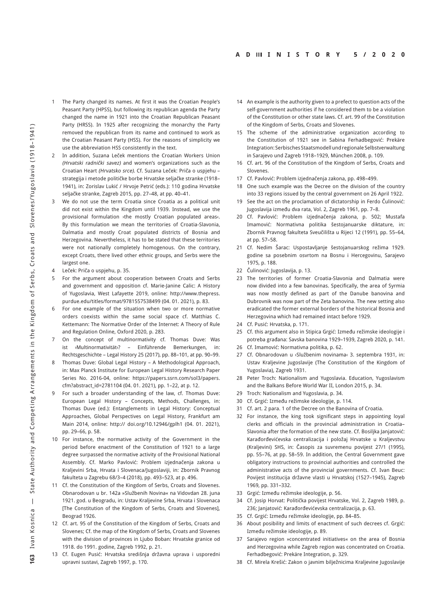- <span id="page-11-0"></span>The Party changed its names. At first it was the Croatian People's Peasant Party (HPSS), but following its republican agenda the Party changed the name in 1921 into the Croatian Republican Peasant Party (HRSS). In 1925 after recognizing the monarchy the Party removed the republican from its name and continued to work as the Croatian Peasant Party (HSS). For the reasons of simplicity we use the abbreviation HSS consistently in the text.
- [2](#page-0-0) In addition, Suzana Leček mentions the Croatian Workers Union (Hrvatski radnički savez) and women's organizations such as the Croatian Heart (Hrvatsko srce). Cf. Suzana Leček: Priča o uspjehu – strategija i metode političke borbe Hrvatske seljačke stranke (1918– 1941), in: Zorislav Lukić / Hrvoje Petrić (eds.): 110 godina Hrvatske seljačke stranke, Zagreb 2015, pp. 27–48, at pp. 40–41.
- [3](#page-0-0) We do not use the term Croatia since Croatia as a political unit did not exist within the Kingdom until 1939. Instead, we use the provisional formulation ›the mostly Croatian populated areas‹. By this formulation we mean the territories of Croatia-Slavonia, Dalmatia and mostly Croat populated districts of Bosnia and Herzegovina. Nevertheless, it has to be stated that these territories were not nationally completely homogenous. On the contrary, except Croats, there lived other ethnic groups, and Serbs were the largest one.
- [4](#page-0-0) Leček: Priča o uspjehu, p. 35.
- [5](#page-0-0) For the argument about cooperation between Croats and Serbs and government and opposition cf. Marie-Janine Calic: A History of Yugoslavia, West Lafayette 2019, online: [http://www.thepress.](http://www.thepress.purdue.edu/titles/format/9781557538499 (04) [purdue.edu/titles/format/9781557538499 \(04](http://www.thepress.purdue.edu/titles/format/9781557538499 (04). 01. 2021), p. 83.
- [6](#page-1-0) For one example of the situation when two or more normative orders coexists within the same social space cf. Matthias C. Kettemann: The Normative Order of the Internet: A Theory of Rule and Regulation Online, Oxford 2020, p. 283.
- [7](#page-1-0) On the concept of multinormativity cf. Thomas Duve: Was ist ›Multinormativität‹? – Einführende Bemerkungen, in: Rechtsgeschichte – Legal History 25 (2017), pp. 88–101, at pp. 90–99.
- [8](#page-1-0) Thomas Duve: Global Legal History A Methodological Approach, in: Max Planck Institute for European Legal History Research Paper Series No. 2016-04, online: https://papers.ssrn.com/sol3/papers. cfm?abstract\_id=2781104 (04. 01. 2021), pp. 1–22, at p. 12.
- [9](#page-1-0) For such a broader understanding of the law, cf. Thomas Duve: European Legal History – Concepts, Methods, Challenges, in: Thomas Duve (ed.): Entanglements in Legal History: Conceptual Approaches, Global Perspectives on Legal History, Frankfurt am Main 2014, online: [http:// doi.org/10.12946/gplh1 \(04](http://dx.doi.org/10.12946/gplh1 (04). 01. 2021), pp. 29–66, p. 58.
- [10](#page-1-0) For instance, the normative activity of the Government in the period before enactment of the Constitution of 1921 to a large degree surpassed the normative activity of the Provisional National Assembly. Cf. Marko Pavlović: Problem izjednačenja zakona u Kraljevini Srba, Hrvata i Slovenaca/Jugoslaviji, in: Zbornik Pravnog fakulteta u Zagrebu 68/3–4 (2018), pp. 493–523, at p. 496.
- [11](#page-1-0) Cf. the Constitution of the Kingdom of Serbs, Croats and Slovenes. Obnarodovan u br. 142a »Službenih Novina« na Vidovdan 28. juna 1921. god. u Beogradu, in: Ustav Kraljevine Srba, Hrvata i Slovenaca [The Constitution of the Kingdom of Serbs, Croats and Slovenes], Beograd 1926.
- [12](#page-1-0) Cf. art. 95 of the Constitution of the Kingdom of Serbs, Croats and Slovenes; Cf. the map of the Kingdom of Serbs, Croats and Slovenes with the division of provinces in Liubo Boban: Hrvatske granice od 1918. do 1991. godine, Zagreb 1992, p. 21.
- [13](#page-2-0) Cf. Eugen Pusić: Hrvatska središnja državna uprava i usporedni upravni sustavi, Zagreb 1997, p. 170.
- [14](#page-2-0) An example is the authority given to a prefect to question acts of the self-government authorities if he considered them to be a violation of the Constitution or other state laws. Cf. art. 99 of the Constitution of the Kingdom of Serbs, Croats and Slovenes.
- [15](#page-2-0) The scheme of the administrative organization according to the Constitution of 1921 see in Sabina Ferhadbegović: Prekäre Integration: Serbisches Staatsmodell und regionale Selbstverwaltung in Sarajevo und Zagreb 1918–1929, München 2008, p. 109.
- [16](#page-2-0) Cf. art. 96 of the Constitution of the Kingdom of Serbs, Croats and Slovenes.
- [17](#page-2-0) Cf. Pavlović: Problem izjednačenja zakona, pp. 498–499.
- [18](#page-2-0) One such example was the Decree on the division of the country into 33 regions issued by the central government on 26 April 1922.
- [19](#page-2-0) See the act on the proclamation of dictatorship in Ferdo Čulinović: Jugoslavija između dva rata, Vol. 2, Zagreb 1961, pp. 7–8.
- [20](#page-2-0) Cf. Pavlović: Problem izjednačenja zakona, p. 502; Mustafa Imamović: Normativna politika šestojanuarske diktature, in: Zbornik Pravnog fakulteta Sveučilišta u Rijeci 12 (1991), pp. 55–64, at pp. 57–58.
- [21](#page-2-0) Cf. Nedim Šarac: Uspostavljanje šestojanuarskog režima 1929. godine sa posebnim osvrtom na Bosnu i Hercegovinu, Sarajevo 1975, p. 188.
- [22](#page-2-0) Čulinović: Jugoslavija, p. 13.
- [23](#page-2-0) The territories of former Croatia-Slavonia and Dalmatia were now divided into a few banovinas. Specifically, the area of Syrmia was now mostly defined as part of the Danube banovina and Dubrovnik was now part of the Zeta banovina. The new setting also eradicated the former external borders of the historical Bosnia and Herzegovina which had remained intact before 1929.
- [24](#page-2-0) Cf. Pusić: Hrvatska, p. 171.
- [25](#page-2-0) Cf. this argument also in Stipica Grgić: Između režimske ideologije i potreba građana: Savska banovina 1929–1939, Zagreb 2020, p. 141.
- [26](#page-2-0) Cf. Imamović: Normativna politika, p. 62.
- [27](#page-2-0) Cf. Obnarodovan u ›Službenim novinama‹ 3. septembra 1931, in: Ustav Kraljevine Jugoslavije (The Constitution of the Kingdom of Yugoslavia), Zagreb 1931.
- [28](#page-2-0) Peter Troch: Nationalism and Yugoslavia. Education, Yugoslavism and the Balkans Before World War II, London 2015, p. 34.
- [29](#page-2-0) Troch: Nationalism and Yugoslavia, p. 34.
- [30](#page-2-0) Cf. Grgić: Između režimske ideologije, p. 114.
- [31](#page-2-0) Cf. art. 2 para. 1 of the Decree on the Banovina of Croatia.
- [32](#page-3-0) For instance, the king took significant steps in appointing loyal clerks and officials in the provincial administration in Croatia– Slavonia after the formation of the new state. Cf. Bosiljka Janjatović: Karađorđevićevska centralizacija i položaj Hrvatske u Kraljevstvu (Kraljevini) SHS, in: Časopis za suvremenu povijest 27/1 (1995), pp. 55–76, at pp. 58–59. In addition, the Central Government gave obligatory instructions to provincial authorities and controlled the administrative acts of the provincial governments. Cf. Ivan Beuc: Povijest institucija državne vlasti u Hrvatskoj (1527–1945), Zagreb 1969, pp. 331–332.
- [33](#page-3-0) Grgić: Između režimske ideologije, p. 56.
- [34](#page-3-0) Cf. Josip Horvat: Politička povijest Hrvatske, Vol. 2, Zagreb 1989, p. 236; Janjatović: Karađorđevićevska centralizacija, p. 63.
- [35](#page-3-0) Cf. Grgić: Između režimske ideologije, pp. 84–85.
- [36](#page-3-0) About posibility and limits of enactment of such decrees cf. Grgić: Između režimske ideologije, p. 89.
- [37](#page-3-0) Sarajevo region »concentrated initiatives« on the area of Bosnia and Herzegovina while Zagreb region was concentrated on Croatia. Ferhadbegović: Prekäre Integration, p. 329.
- [38](#page-3-0) Cf. Mirela Krešić: Zakon o javnim bilježnicima Kraljevine Jugoslavije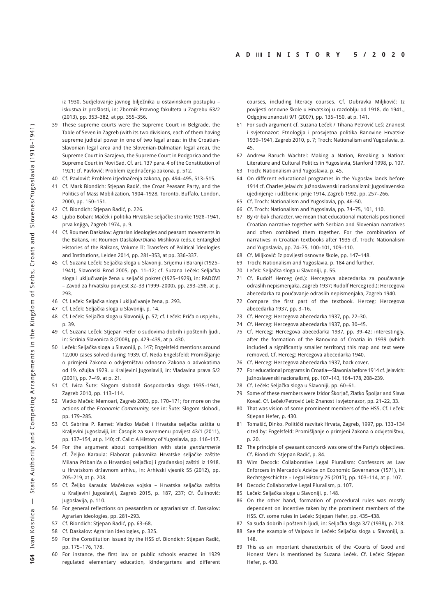<span id="page-12-0"></span>iz 1930. Sudjelovanje javnog bilježnika u ostavinskom postupku – iskustva iz prošlosti, in: Zbornik Pravnog fakulteta u Zagrebu 63/2 (2013), pp. 353–382, at pp. 355–356.

- [39](#page-3-0) These supreme courts were the Supreme Court in Belgrade, the Table of Seven in Zagreb (with its two divisions, each of them having supreme judicial power in one of two legal areas: in the Croatian-Slavonian legal area and the Slovenian-Dalmatian legal area), the Supreme Court in Sarajevo, the Supreme Court in Podgorica and the Supreme Court in Novi Sad. Cf. art. 137 para. 4 of the Constitution of 1921; cf. Pavlović: Problem izjednačenja zakona, p. 512.
- [40](#page-3-0) Cf. Pavlović: Problem izjednačenja zakona, pp. 494–495, 513–515.
- [41](#page-3-0) Cf. Mark Biondich: Stjepan Radić, the Croat Peasant Party, and the Politics of Mass Mobilization, 1904–1928, Toronto, Buffalo, London, 2000, pp. 150–151.
- [42](#page-4-0) Cf. Biondich: Stjepan Radić, p. 226.
- [43](#page-4-0) Ljubo Boban: Maček i politika Hrvatske seljačke stranke 1928–1941, prva knjiga, Zagreb 1974, p. 9.
- [44](#page-4-0) Cf. Roumen Daskalov: Agrarian ideologies and peasant movements in the Bakans, in: Roumen Daskalov/Diana Mishkova (eds.): Entangled Histories of the Balkans, Volume II: Transfers of Political Ideologies and Institutions, Leiden 2014, pp. 281–353, at pp. 336–337.
- [45](#page-4-0) Cf. Suzana Leček: Seljačka sloga u Slavoniji, Srijemu i Baranji (1925– 1941), Slavonski Brod 2005, pp. 11–12; cf. Suzana Leček: Seljačka sloga i uključivanje žena u seljački pokret (1925–1929), in: RADOVI – Zavod za hrvatsku povijest 32–33 (1999–2000), pp. 293–298, at p. 293.
- [46](#page-4-0) Cf. Leček: Seljačka sloga i uključivanje žena, p. 293.
- [47](#page-4-0) Cf. Leček: Seljačka sloga u Slavoniji, p. 14.
- [48](#page-4-0) Cf. Leček: Seljačka sloga u Slavoniji, p. 57; cf. Leček: Priča o uspjehu, p. 39.
- [49](#page-4-0) Cf. Suzana Leček: Stjepan Hefer o sudovima dobrih i poštenih ljudi, in: Scrinia Slavonica 8 (2008), pp. 429–439, at p. 430.
- [50](#page-4-0) Leček: Seljačka sloga u Slavoniji, p. 147; Engelsfeld mentions around 12,000 cases solved during 1939. Cf. Neda Engelsfeld: Promišljanje o primjeni Zakona o odvjetništvu odnosno Zakona o advokatima od 19. ožujka 1929. u Kraljevini Jugoslaviji, in: Vladavina prava 5/2 (2001), pp. 7–49, at p. 21.
- [51](#page-4-0) Cf. Ivica Šute: Slogom slobodi! Gospodarska sloga 1935–1941, Zagreb 2010, pp. 113–114.
- [52](#page-4-0) Vlatko Maček: Memoari, Zagreb 2003, pp. 170–171; for more on the actions of the Economic Community, see in: Šute: Slogom slobodi, pp. 179–285.
- [53](#page-4-0) Cf. Sabrina P. Ramet: Vladko Maček i Hrvatska seljačka zaštita u Kraljevini Jugoslaviji, in: Časopis za suvremenu povijest 43/1 (2011), pp. 137–154, at p. 140; cf. Calic: A History of Yugoslavia, pp. 116–117.
- [54](#page-4-0) For the argument about competition with state gendarmerie cf. Željko Karaula: Elaborat pukovnika Hrvatske seljačke zaštite Milana Pribanića o Hrvatskoj seljačkoj i građanskoj zaštiti iz 1918. u Hrvatskom državnom arhivu, in: Arhivski vjesnik 55 (2012), pp. 205–219, at p. 208.
- [55](#page-4-0) Cf. Željko Karaula: Mačekova vojska Hrvatska seljačka zaštita u Kraljevini Jugoslaviji, Zagreb 2015, p. 187, 237; Cf. Čulinović: Jugoslavija, p. 110.
- [56](#page-4-0) For general reflections on peasantism or agrarianism cf. Daskalov: Agrarian ideologies, pp. 281–293.
- [57](#page-4-0) Cf. Biondich: Stjepan Radić, pp. 63–68.
- [58](#page-4-0) Cf. Daskalov: Agrarian ideologies, p. 325.
- [59](#page-5-0) For the Constitution issued by the HSS cf. Biondich: Stjepan Radić, pp. 175–176, 178.
- [60](#page-5-0) For instance, the first law on public schools enacted in 1929 regulated elementary education, kindergartens and different

courses, including literacy courses. Cf. Dubravka Miljković: Iz povijesti osnovne škole u Hrvatskoj u razdoblju od 1918. do 1941., Odgojne znanosti 9/1 (2007), pp. 135–150, at p. 141.

- [61](#page-5-0) For such argument cf. Suzana Leček / Tihana Petrović Leš: Znanost i svjetonazor: Etnologija i prosvjetna politika Banovine Hrvatske 1939–1941, Zagreb 2010, p. 7; Troch: Nationalism and Yugoslavia, p. 45.
- [62](#page-5-0) Andrew Baruch Wachtel: Making a Nation, Breaking a Nation: Literature and Cultural Politics in Yugoslavia, Stanford 1998, p. 107.
- [63](#page-5-0) Troch: Nationalism and Yugoslavia, p. 45.
- [64](#page-5-0) On different educational programes in the Yugoslav lands before 1914 cf. Charles Jelavich: Južnoslavenski nacionalizmi: Jugoslavensko ujedinjenje i udžbenici prije 1914, Zagreb 1992, pp. 257–266.
- [65](#page-5-0) Cf. Troch: Nationalism and Yugoslavia, pp. 46–50.
- [66](#page-5-0) Cf. Troch: Nationalism and Yugoslavia, pp. 74–75, 101, 110.
- [67](#page-5-0) By ›tribal‹ character, we mean that educational materials positioned Croatian narrative together with Serbian and Slovenian narratives and often combined them together. For the combination of narratives in Croatian textbooks after 1935 cf. Troch: Nationalism and Yugoslavia, pp. 74–75, 100–101, 109–110.
- [68](#page-5-0) Cf. Miljković: Iz povijesti osnovne škole, pp. 147–148.
- [69](#page-5-0) Troch: Nationalism and Yugoslavia, p. 184 and further.
- [70](#page-5-0) Leček: Seljačka sloga u Slavoniji, p. 55.
- [71](#page-5-0) Cf. Rudolf Herceg (ed.): Hercegova abecedarka za poučavanje odraslih nepismenjaka, Zagreb 1937; Rudolf Herceg (ed.): Hercegova abecedarka za poučavanje odraslih nepismenjaka, Zagreb 1940.
- [72](#page-6-0) Compare the first part of the textbook. Herceg: Hercegova abecedarka 1937, pp. 3–16.
- [73](#page-6-0) Cf. Herceg: Hercegova abecedarka 1937, pp. 22–30.
- [74](#page-6-0) Cf. Herceg: Hercegova abecedarka 1937, pp. 30–45.
- [75](#page-6-0) Cf. Herceg: Hercegova abecedarka 1937, pp. 39–42; interestingly, after the formation of the Banovina of Croatia in 1939 (which included a significantly smaller territory) this map and text were removed. Cf. Herceg: Hercegova abecedarka 1940.
- [76](#page-6-0) Cf. Herceg: Hercegova abecedarka 1937, back cover.
- [77](#page-6-0) For educational programs in Croatia—Slavonia before 1914 cf. Jelavich: Južnoslavenski nacionalizmi, pp. 107–143, 164–178, 208–239.
- [78](#page-6-0) Cf. Leček: Seljačka sloga u Slavoniji, pp. 60–61.
- [79](#page-6-0) Some of these members were Izidor Škorjač, Zlatko Špoljar and Slava Kovač. Cf. Leček/Petrović Leš: Znanost i svjetonazor, pp. 21–22, 33.
- [80](#page-6-0) That was vision of some prominent members of the HSS. Cf. Leček: Stjepan Hefer, p. 430.
- [81](#page-6-0) Tomašić, Dinko. Politički razvitak Hrvata, Zagreb, 1997, pp. 133–134 cited by: Engelsfeld: Promišljanje o primjeni Zakona o odvjetništvu, p. 20.
- [82](#page-6-0) The principle of **>peasant concord** was one of the Party's objectives. Cf. Biondich: Stjepan Radić, p. 84.
- [83](#page-7-0) Wim Decock: Collaborative Legal Pluralism: Confessors as Law Enforcers in Mercado's Advice on Economic Governance (1571), in: Rechtsgeschichte – Legal History 25 (2017), pp. 103–114, at p. 107.
- [84](#page-7-0) Decock: Collaborative Legal Pluralism, p. 107.
- [85](#page-7-0) Leček: Seljačka sloga u Slavoniji, p. 148.
- [86](#page-7-0) On the other hand, formation of procedural rules was mostly dependent on incentive taken by the prominent members of the HSS. Cf. some rules in Leček: Stjepan Hefer, pp. 435–438.
- [87](#page-7-0) Sa suda dobrih i poštenih ljudi, in: Seljačka sloga 3/7 (1938), p. 218.
- [88](#page-7-0) See the example of Valpovo in Leček: Seljačka sloga u Slavoniji, p. 148.
- [89](#page-8-0) This as an important characteristic of the >Courts of Good and Honest Men‹ is mentioned by Suzana Leček. Cf. Leček: Stjepan Hefer, p. 430.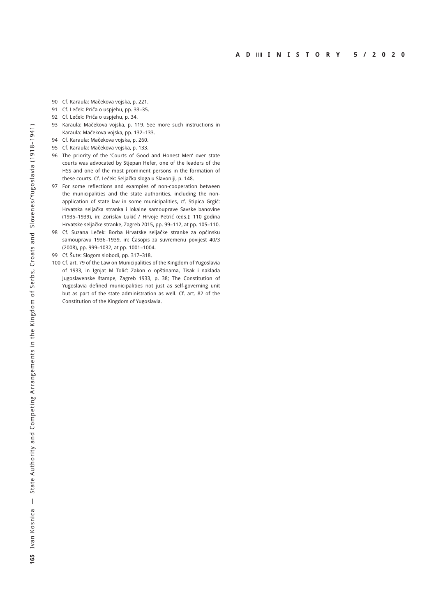- <span id="page-13-0"></span>[90](#page-8-0) Cf. Karaula: Mačekova vojska, p. 221.
- [91](#page-8-0) Cf. Leček: Priča o uspjehu, pp. 33–35.
- [92](#page-8-0) Cf. Leček: Priča o uspjehu, p. 34.
- [93](#page-8-0) Karaula: Mačekova vojska, p. 119. See more such instructions in Karaula: Mačekova vojska, pp. 132–133.
- [94](#page-8-0) Cf. Karaula: Mačekova vojska, p. 260.
- [95](#page-8-0) Cf. Karaula: Mačekova vojska, p. 133.
- [96](#page-9-0) The priority of the 'Courts of Good and Honest Men' over state courts was advocated by Stjepan Hefer, one of the leaders of the HSS and one of the most prominent persons in the formation of these courts. Cf. Leček: Seljačka sloga u Slavoniji, p. 148.
- [97](#page-9-0) For some reflections and examples of non-cooperation between the municipalities and the state authorities, including the nonapplication of state law in some municipalities, cf. Stipica Grgić: Hrvatska seljačka stranka i lokalne samouprave Savske banovine (1935–1939), in: Zorislav Lukić / Hrvoje Petrić (eds.): 110 godina Hrvatske seljačke stranke, Zagreb 2015, pp. 99–112, at pp. 105–110.
- [98](#page-9-0) Cf. Suzana Leček: Borba Hrvatske seljačke stranke za općinsku samoupravu 1936–1939, in: Časopis za suvremenu povijest 40/3 (2008), pp. 999–1032, at pp. 1001–1004.
- [99](#page-9-0) Cf. Šute: Slogom slobodi, pp. 317–318.
- [100](#page-9-0) Cf. art. 79 of the Law on Municipalities of the Kingdom of Yugoslavia of 1933, in Ignjat M Tolić: Zakon o opštinama, Tisak i naklada Jugoslavenske štampe, Zagreb 1933, p. 38; The Constitution of Yugoslavia defined municipalities not just as self-governing unit but as part of the state administration as well. Cf. art. 82 of the Constitution of the Kingdom of Yugoslavia.